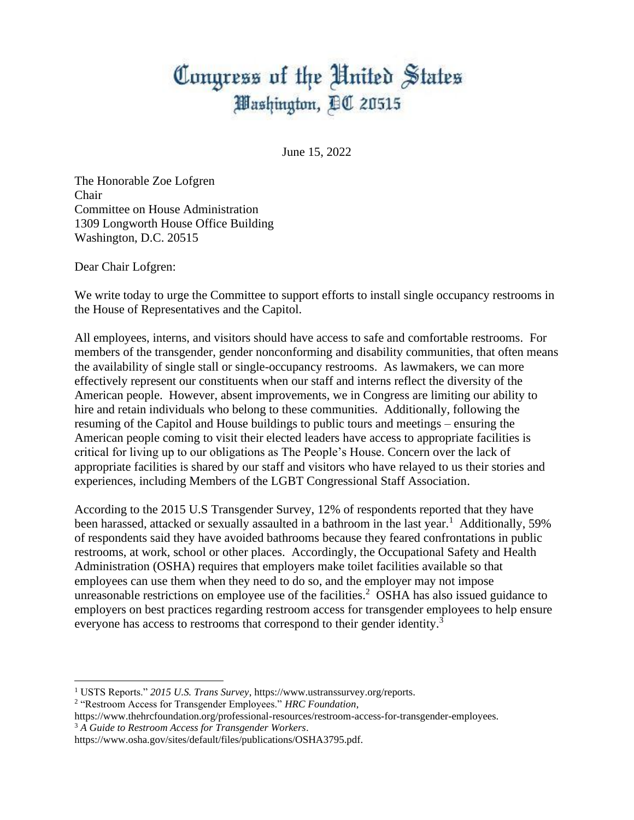## Congress of the United States Washington, DC 20515

June 15, 2022

The Honorable Zoe Lofgren Chair Committee on House Administration 1309 Longworth House Office Building Washington, D.C. 20515

Dear Chair Lofgren:

We write today to urge the Committee to support efforts to install single occupancy restrooms in the House of Representatives and the Capitol.

All employees, interns, and visitors should have access to safe and comfortable restrooms. For members of the transgender, gender nonconforming and disability communities, that often means the availability of single stall or single-occupancy restrooms. As lawmakers, we can more effectively represent our constituents when our staff and interns reflect the diversity of the American people. However, absent improvements, we in Congress are limiting our ability to hire and retain individuals who belong to these communities. Additionally, following the resuming of the Capitol and House buildings to public tours and meetings – ensuring the American people coming to visit their elected leaders have access to appropriate facilities is critical for living up to our obligations as The People's House. Concern over the lack of appropriate facilities is shared by our staff and visitors who have relayed to us their stories and experiences, including Members of the LGBT Congressional Staff Association.

According to the 2015 U.S Transgender Survey, 12% of respondents reported that they have been harassed, attacked or sexually assaulted in a bathroom in the last year.<sup>1</sup> Additionally, 59% of respondents said they have avoided bathrooms because they feared confrontations in public restrooms, at work, school or other places. Accordingly, the Occupational Safety and Health Administration (OSHA) requires that employers make toilet facilities available so that employees can use them when they need to do so, and the employer may not impose unreasonable restrictions on employee use of the facilities.<sup>2</sup> OSHA has also issued guidance to employers on best practices regarding restroom access for transgender employees to help ensure everyone has access to restrooms that correspond to their gender identity.<sup>3</sup>

<sup>1</sup> USTS Reports." *2015 U.S. Trans Survey*, https://www.ustranssurvey.org/reports.

<sup>2</sup> "Restroom Access for Transgender Employees." *HRC Foundation*,

https://www.thehrcfoundation.org/professional-resources/restroom-access-for-transgender-employees. <sup>3</sup> *A Guide to Restroom Access for Transgender Workers*.

https://www.osha.gov/sites/default/files/publications/OSHA3795.pdf.